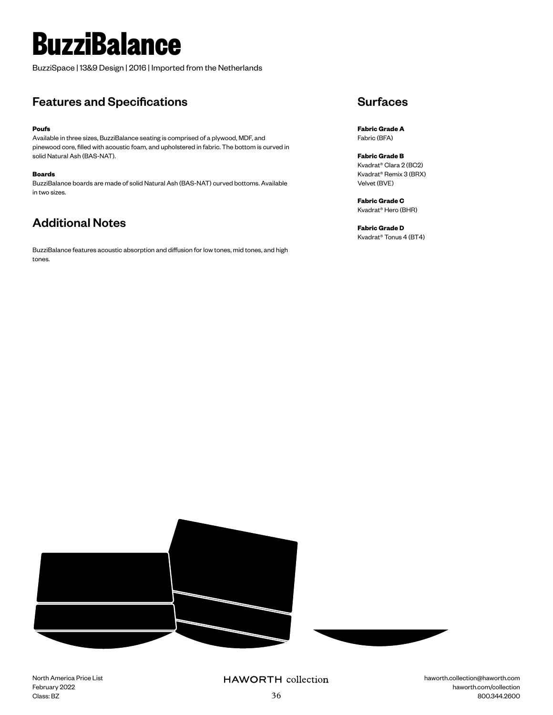# **BuzziBalance**

BuzziSpace | 13&9 Design | 2016 | Imported from the Netherlands

## Features and Specifications

### **Poufs**

Available in three sizes, BuzziBalance seating is comprised of a plywood, MDF, and pinewood core, filled with acoustic foam, and upholstered in fabric. The bottom is curved in solid Natural Ash (BAS-NAT).

#### **Boards**

BuzziBalance boards are made of solid Natural Ash (BAS-NAT) curved bottoms. Available in two sizes.

# Additional Notes

BuzziBalance features acoustic absorption and diffusion for low tones, mid tones, and high tones.

## **Surfaces**

**Fabric Grade A** Fabric (BFA)

**Fabric Grade B** Kvadrat® Clara 2 (BC2) Kvadrat® Remix 3 (BRX) Velvet (BVE)

**Fabric Grade C** Kvadrat® Hero (BHR)

**Fabric Grade D** Kvadrat® Tonus 4 (BT4)



North America Price List February 2022 Class: BZ

## **HAWORTH** collection

haworth.collection@haworth.com haworth.com/collection 36 800.344.2600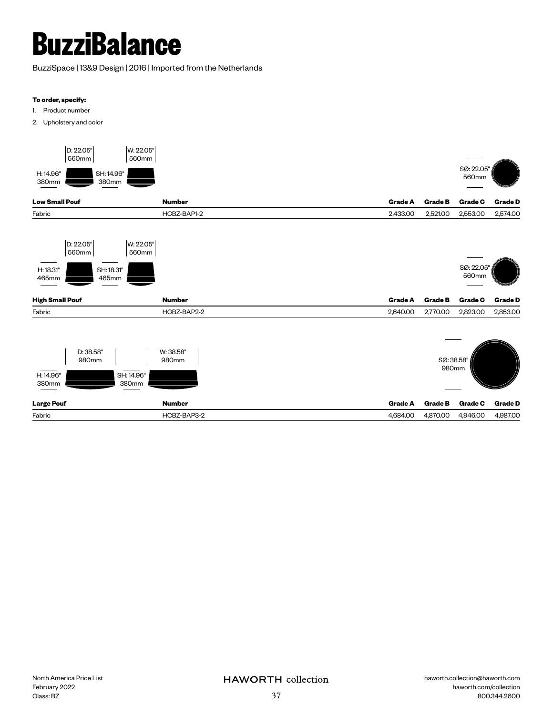# **BuzziBalance**

BuzziSpace | 13&9 Design | 2016 | Imported from the Netherlands

### **To order, specify:**

- 1. Product number
- 2. Upholstery and color

| D: 22.05"<br>W: 22.05"<br>560mm<br>560mm<br>H: 14.96"<br>SH: 14.96"<br>380mm<br>380mm |                                   |                            |                                 | SØ: 22.05<br>560mm         |                            |
|---------------------------------------------------------------------------------------|-----------------------------------|----------------------------|---------------------------------|----------------------------|----------------------------|
| <b>Low Small Pouf</b>                                                                 | <b>Number</b>                     | <b>Grade A</b>             | <b>Grade B</b>                  | <b>Grade C</b>             | <b>Grade D</b>             |
| Fabric                                                                                | HCBZ-BAP1-2                       | 2,433.00                   | 2,521.00                        | 2,553.00                   | 2,574.00                   |
| D: 22.05"<br>W: 22.05"<br>560mm<br>560mm<br>H: 18.31"<br>SH: 18.31"<br>465mm<br>465mm |                                   |                            |                                 | SØ: 22.05"<br>560mm        |                            |
| <b>High Small Pouf</b>                                                                | <b>Number</b>                     | <b>Grade A</b>             | <b>Grade B</b>                  | <b>Grade C</b>             | <b>Grade D</b>             |
| Fabric<br>D: 38.58"<br>980mm<br>SH: 14.96"<br>H: 14.96"<br>380mm<br>380mm             | HCBZ-BAP2-2<br>W: 38.58"<br>980mm | 2,640.00                   | 2,770.00<br>SØ: 38.58"<br>980mm | 2,823.00                   | 2,853.00                   |
| <b>Large Pouf</b><br>Fabric                                                           | <b>Number</b><br>HCBZ-BAP3-2      | <b>Grade A</b><br>4,684.00 | <b>Grade B</b><br>4,870.00      | <b>Grade C</b><br>4,946.00 | <b>Grade D</b><br>4,987.00 |